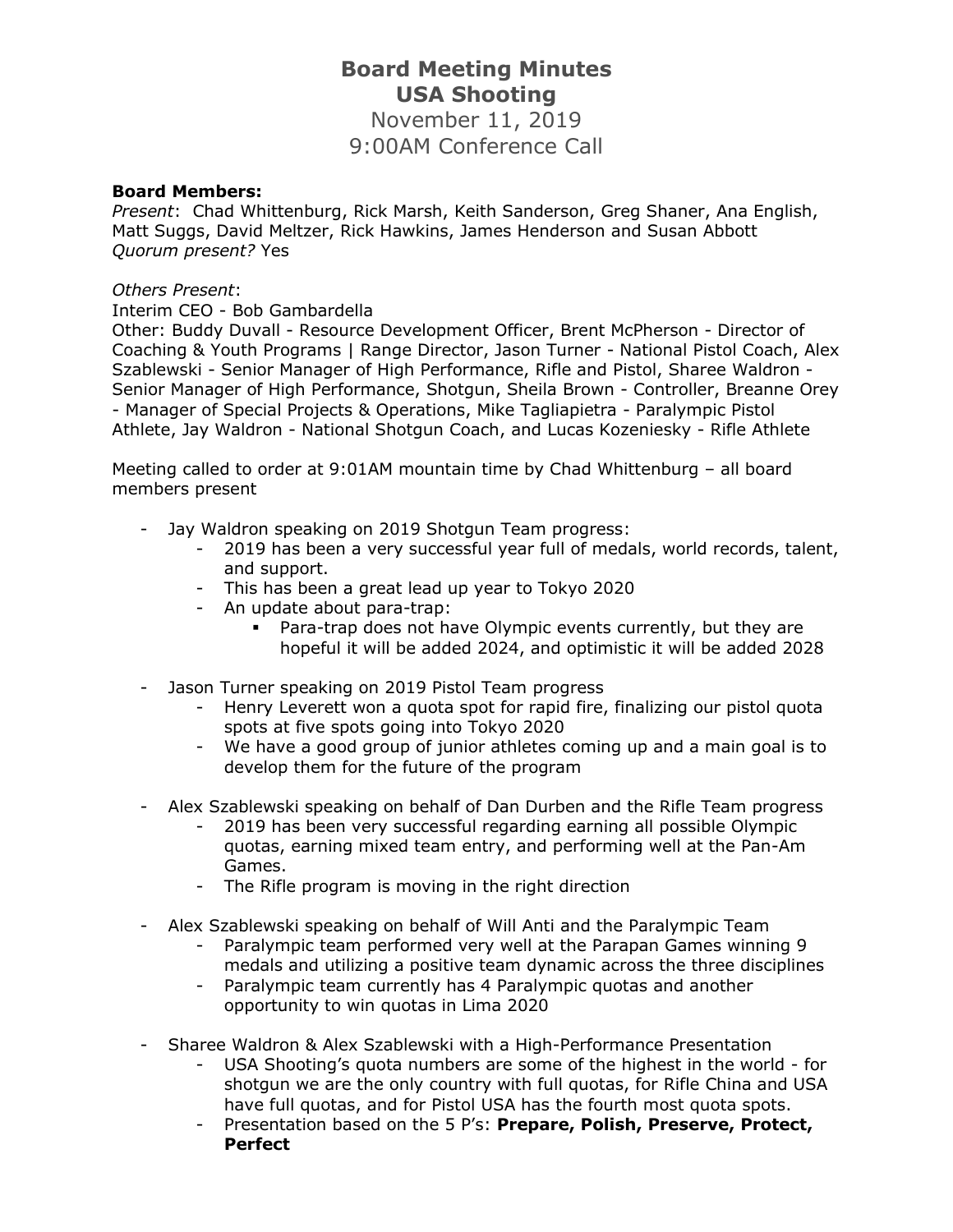## **Board Meeting Minutes USA Shooting**

November 11, 2019 9:00AM Conference Call

## **Board Members:**

*Present*: Chad Whittenburg, Rick Marsh, Keith Sanderson, Greg Shaner, Ana English, Matt Suggs, David Meltzer, Rick Hawkins, James Henderson and Susan Abbott *Quorum present?* Yes

## *Others Present*:

Interim CEO - Bob Gambardella

Other: Buddy Duvall - Resource Development Officer, Brent McPherson - Director of Coaching & Youth Programs | Range Director, Jason Turner - National Pistol Coach, Alex Szablewski - Senior Manager of High Performance, Rifle and Pistol, Sharee Waldron - Senior Manager of High Performance, Shotgun, Sheila Brown - Controller, Breanne Orey - Manager of Special Projects & Operations, Mike Tagliapietra - Paralympic Pistol Athlete, Jay Waldron - National Shotgun Coach, and Lucas Kozeniesky - Rifle Athlete

Meeting called to order at 9:01AM mountain time by Chad Whittenburg – all board members present

- Jay Waldron speaking on 2019 Shotgun Team progress:
	- 2019 has been a very successful year full of medals, world records, talent, and support.
	- This has been a great lead up year to Tokyo 2020
	- An update about para-trap:
		- Para-trap does not have Olympic events currently, but they are hopeful it will be added 2024, and optimistic it will be added 2028
- Jason Turner speaking on 2019 Pistol Team progress
	- Henry Leverett won a quota spot for rapid fire, finalizing our pistol quota spots at five spots going into Tokyo 2020
	- We have a good group of junior athletes coming up and a main goal is to develop them for the future of the program
- Alex Szablewski speaking on behalf of Dan Durben and the Rifle Team progress
	- 2019 has been very successful regarding earning all possible Olympic quotas, earning mixed team entry, and performing well at the Pan-Am Games.
	- The Rifle program is moving in the right direction
- Alex Szablewski speaking on behalf of Will Anti and the Paralympic Team
	- Paralympic team performed very well at the Parapan Games winning 9 medals and utilizing a positive team dynamic across the three disciplines
	- Paralympic team currently has 4 Paralympic quotas and another opportunity to win quotas in Lima 2020
- Sharee Waldron & Alex Szablewski with a High-Performance Presentation
	- USA Shooting's quota numbers are some of the highest in the world for shotgun we are the only country with full quotas, for Rifle China and USA have full quotas, and for Pistol USA has the fourth most quota spots.
	- Presentation based on the 5 P's: **Prepare, Polish, Preserve, Protect, Perfect**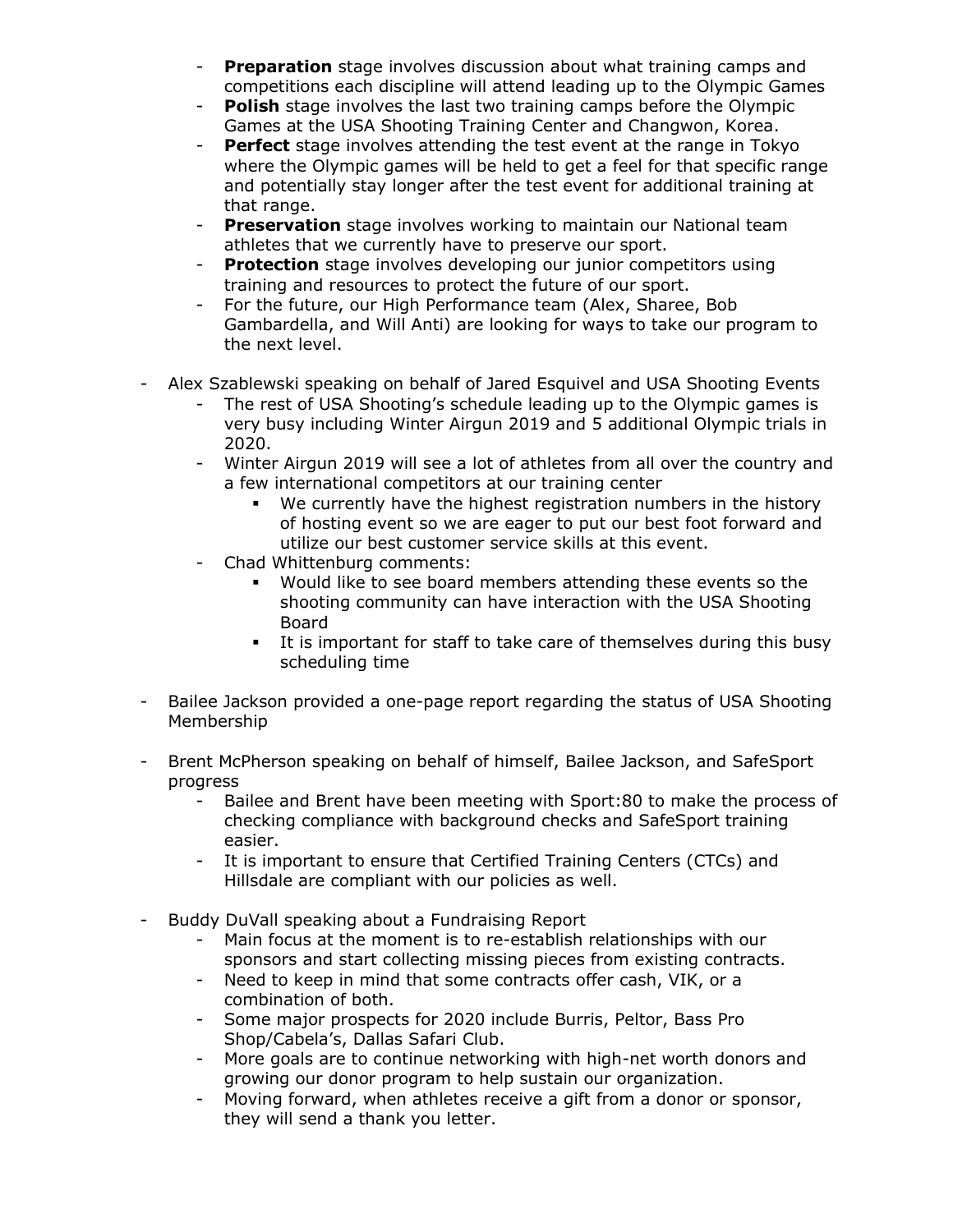- **Preparation** stage involves discussion about what training camps and competitions each discipline will attend leading up to the Olympic Games
- **Polish** stage involves the last two training camps before the Olympic Games at the USA Shooting Training Center and Changwon, Korea.
- **Perfect** stage involves attending the test event at the range in Tokyo where the Olympic games will be held to get a feel for that specific range and potentially stay longer after the test event for additional training at that range.
- **Preservation** stage involves working to maintain our National team athletes that we currently have to preserve our sport.
- **Protection** stage involves developing our junior competitors using training and resources to protect the future of our sport.
- For the future, our High Performance team (Alex, Sharee, Bob Gambardella, and Will Anti) are looking for ways to take our program to the next level.
- Alex Szablewski speaking on behalf of Jared Esquivel and USA Shooting Events
	- The rest of USA Shooting's schedule leading up to the Olympic games is very busy including Winter Airgun 2019 and 5 additional Olympic trials in 2020.
	- Winter Airgun 2019 will see a lot of athletes from all over the country and a few international competitors at our training center
		- We currently have the highest registration numbers in the history of hosting event so we are eager to put our best foot forward and utilize our best customer service skills at this event.
	- Chad Whittenburg comments:
		- Would like to see board members attending these events so the shooting community can have interaction with the USA Shooting Board
		- **EXECT** It is important for staff to take care of themselves during this busy scheduling time
- Bailee Jackson provided a one-page report regarding the status of USA Shooting Membership
- Brent McPherson speaking on behalf of himself, Bailee Jackson, and SafeSport progress
	- Bailee and Brent have been meeting with Sport: 80 to make the process of checking compliance with background checks and SafeSport training easier.
	- It is important to ensure that Certified Training Centers (CTCs) and Hillsdale are compliant with our policies as well.
- Buddy DuVall speaking about a Fundraising Report
	- Main focus at the moment is to re-establish relationships with our sponsors and start collecting missing pieces from existing contracts.
	- Need to keep in mind that some contracts offer cash, VIK, or a combination of both.
	- Some major prospects for 2020 include Burris, Peltor, Bass Pro Shop/Cabela's, Dallas Safari Club.
	- More goals are to continue networking with high-net worth donors and growing our donor program to help sustain our organization.
	- Moving forward, when athletes receive a gift from a donor or sponsor, they will send a thank you letter.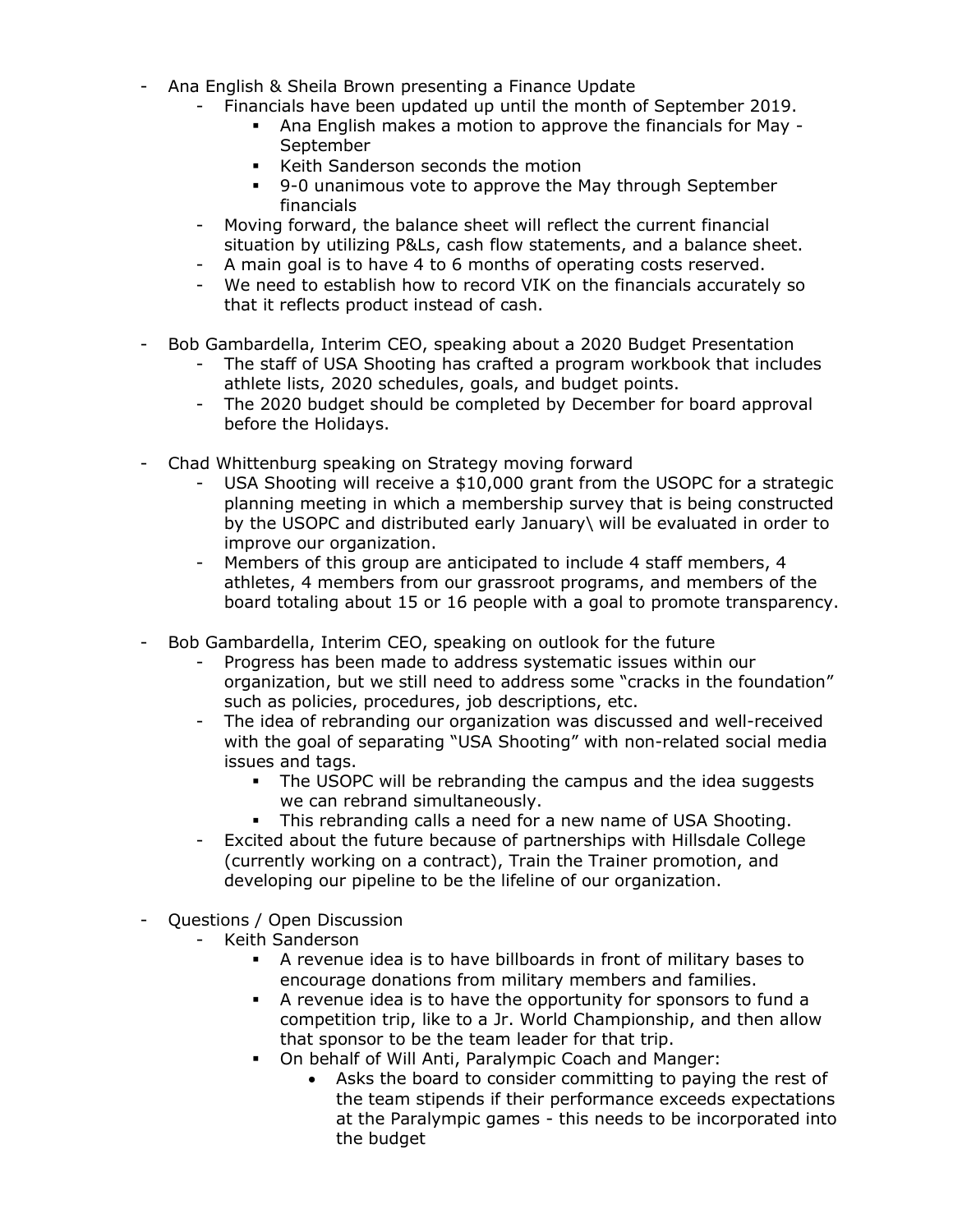- Ana English & Sheila Brown presenting a Finance Update
	- Financials have been updated up until the month of September 2019.
		- Ana English makes a motion to approve the financials for May September
		- Keith Sanderson seconds the motion
		- 9-0 unanimous vote to approve the May through September financials
	- Moving forward, the balance sheet will reflect the current financial situation by utilizing P&Ls, cash flow statements, and a balance sheet.
	- A main goal is to have 4 to 6 months of operating costs reserved.
	- We need to establish how to record VIK on the financials accurately so that it reflects product instead of cash.
- Bob Gambardella, Interim CEO, speaking about a 2020 Budget Presentation
	- The staff of USA Shooting has crafted a program workbook that includes athlete lists, 2020 schedules, goals, and budget points.
	- The 2020 budget should be completed by December for board approval before the Holidays.
- Chad Whittenburg speaking on Strategy moving forward
	- USA Shooting will receive a \$10,000 grant from the USOPC for a strategic planning meeting in which a membership survey that is being constructed by the USOPC and distributed early January\ will be evaluated in order to improve our organization.
	- Members of this group are anticipated to include 4 staff members, 4 athletes, 4 members from our grassroot programs, and members of the board totaling about 15 or 16 people with a goal to promote transparency.
- Bob Gambardella, Interim CEO, speaking on outlook for the future
	- Progress has been made to address systematic issues within our organization, but we still need to address some "cracks in the foundation" such as policies, procedures, job descriptions, etc.
	- The idea of rebranding our organization was discussed and well-received with the goal of separating "USA Shooting" with non-related social media issues and tags.
		- The USOPC will be rebranding the campus and the idea suggests we can rebrand simultaneously.
		- This rebranding calls a need for a new name of USA Shooting.
	- Excited about the future because of partnerships with Hillsdale College (currently working on a contract), Train the Trainer promotion, and developing our pipeline to be the lifeline of our organization.
- Questions / Open Discussion
	- Keith Sanderson
		- A revenue idea is to have billboards in front of military bases to encourage donations from military members and families.
		- A revenue idea is to have the opportunity for sponsors to fund a competition trip, like to a Jr. World Championship, and then allow that sponsor to be the team leader for that trip.
		- On behalf of Will Anti, Paralympic Coach and Manger:
			- Asks the board to consider committing to paying the rest of the team stipends if their performance exceeds expectations at the Paralympic games - this needs to be incorporated into the budget